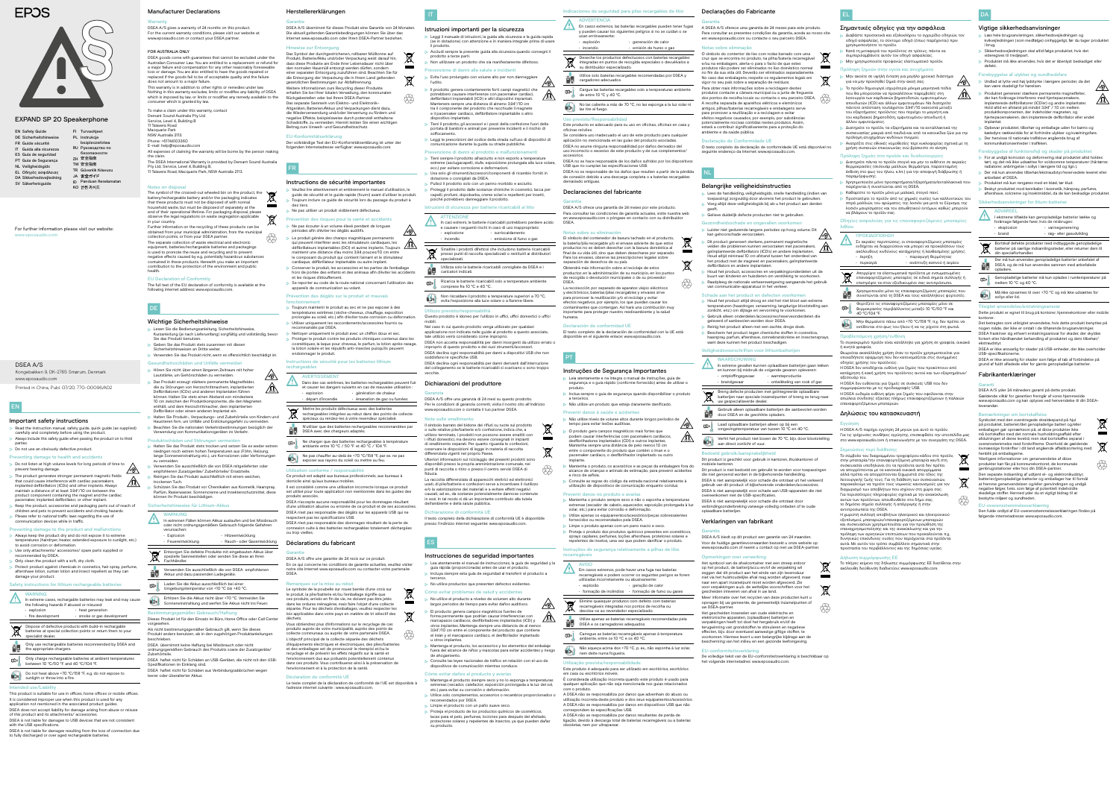# Herstellererklärungen

#### Garantie DSEA A/S übernimmt für dieses Produkt eine Garantie von 24 Monaten. Die aktuell geltenden Garantiebedingungen können Sie über das Internet www.eposaudio.com oder Ihren DSEA-Partner beziehen.

# Hinweise zur Entsorgung

Das Symbol der durchgestrichenen, rollbaren Mülltonne auf Produkt, Batterie/Akku und/oder Verpackung weist darauf hin, s diese Produkte am Ende ihrer Lebensdauer nicht über den normalen Hausmüll entsorgt werden dürfen, sondern einer separaten Entsorgung zuzuführen sind. Beachten Sie für die Entsorgung der Verpackung die in Ihrem Land geltenden gesetzlichen Bestimmungen zur Abfalltrennung. Weitere Informationen zum Recycling dieser Produkte erhalten Sie bei Ihrer lokalen Verwaltung, den kommunalen Rückgabestellen oder bei Ihrem DSEA-Partner. Das separate Sammeln von Elektro- und Elektronik-Altgeräten, Batterien/Akkus und Verpackungen dient dazu, wendung und/oder Verwertung zu fördern und negative Effekte, beispielsweise durch potenziell enthaltene Schadstoffe, zu vermeiden. Hiermit leisten Sie einen wichtigen

t.

 $\forall$ 

Beitrag zum Umwelt- und Gesundheitsschutz.

Der vollständige Text der EU-Konformitätserklärung ist unter der folgenden Internetadresse verfügbar: www.eposaudio.com.

# FR

### Instructions de sécurité importantes

**AVERTISSEMENT** Dans des cas extrêmes, les batteries rechargeables peuvent fuir et causer les dangers suivants en cas de mauvaise utilisation : • explosion • départ d'incendie • génération de chaleur • émanation de gaz ou fumées

- Veuillez lire attentivement et entièrement le manuel d'utilisation, le guide de sécurité et le guide rapide (fourni) avant d'utiliser le produit. Toujours inclure ce guide de sécurité lors du passage du produit à
- des tiers.
- Ne pas utiliser un produit visiblement défectueux.
- ntion des risques pour la santé et accidents Ne pas écouter à un volume élevé pendant de longues
- périodes afin d'éviter les dégâts auditifs.
- $\sqrt{8}$ > Le produit génère des champs magnétiques permanents qui peuvent interférer avec les stimulateurs cardiaques, les défibrillateurs implantables (DCI) et autres implants. Toujours maintenir une distance d'au moins 3,94 pouces/10 cm entre le composant du produit qui contient l'aimant et le stimulateur cardiaque, défibrillateur implantable ou autre implant. Conserver le produit, les accessoires et les parties de l'emballage
- hors de portée des enfants et des animaux afin d'éviter les accidents et les risques d'étouffement.
- $\triangleright$  Se reporter au code de la route national concernant l'utilisation des appareils de communication au volant.

Il est considéré comme une utilisation incorrecte lorsque ce produit est utilisé pour toute application non mentionnée dans les guides de

En ce qui concerne les conditions de garantie actuelles, veuillez visiter site Internet www.eposaudio.com ou contacter votre partenaire

### Prévention des dégâts sur le produit et mauvais fonctionnement

- Toujours maintenir le produit au sec et ne pas exposer à des températures extrêmes (sèche-cheveux, chauffage, exposition prolongée au soleil, etc.) afin d'éviter toute corrosion ou déformation.
- Utiliser uniquement les raccordements/accessoires fournis ou recommandés par DSEA.
- Nettoyer uniquement le produit avec un chiffon doux et sec. Protéger le produit contre les produits chimiques contenus dans les cosmétiques, la laque pour cheveux, le parfum, la lotion après-rasage, la lotion solaire et les répulsifs anti-insectes puisqu'ils peuvent endommager le produit.

## Instructions de sécurité pour les batteries lithium

# rechargeables

DSEA avec des batteries recharge

- Preventing damage to health and accidents > Do not listen at high volume levels for long periods of time to  $\bigotimes$ prevent hearing damage.
- The product generates stronger permanent magnetic fields  $\sqrt{0}$ that could cause interference with cardiac pacemakers, implanted defibrillators (ICDs) and other implants. Always maintain a distance of at least 3.94"/10 cm between the
- product component containing the magnet and the cardiac pacemaker, implanted defibrillator, or other implant. Keep the product, accessories and packaging parts out of reach of children and pets to prevent accidents and choking hazards. Please refer to national traffic laws regarding the use of
- nmunication devices while in traffic

Mettre les produits défectueux avec des batteries rechargeables intégrées au rebut dans des points de collecte spéciaux ou rendez-les à votre revendeur spécialisé. N'utiliser que des batteries rechargeables recommandées par

ambiante entre 10 °C / 50 °F et 40 °C / 104 °F

Ne charger que des batteries rechargeables à température

- avoid corrosion or deformation Use only attachments/ accessories/ spare parts supplied or
- recommended by DSEA. Only clean the product with a soft, dry cloth.
- Protect product against chemicals in cosmetics, hair spray, perfume, aftershave lotion, suntan lotion and insect repellent as they can
- damage your product.

Ne pas chauffer au-delà de +70 °C/158 °F, par ex. ne pas exposer aux rayons du soleil ou mettre au feu.

**WARNING**  $\Lambda$ I In extreme cases, rechargable batteries may leak and may cause the following hazards if abused or misused:

Utilisation conforme / responsabilité

ctent pas les spécifications USB.

- batteries at special collection points or return them to your specialist dealer. Only use rechargeable batteries recommended by DSEA and  $\blacksquare$  the appropriate chargers.
- Only charge rechargeable batteries at ambient temperatures between 10 °C/50 °F and 40 °C/104 °F.
- Do not heat above +70 °C/158 °F, e.g. do not expose to Do not heat above +70 °C/1<br>sunlight or throw into a fire.

Ce produit est adapté aux bureaux professionnels, aux bureaux à

domicile ainsi qu'aux bureaux mobiles.

This product is suitable for use in offices, home offices or mobile offices. It is considered improper use when this product is used for any application not mentioned in the associated product guides

produits associés.

面

DSEA n'accepte aucune responsabilité pour les dommages résultant d'une utilisation abusive ou erronée de ce produit et de ses accessoires. DSEA n'est pas responsable des dégâts sur les appareils USB qui ne

DSEA n'est pas responsable des dommages résultant de la perte de connexion suite à des batteries rechargeables totalement déchargées

ou trop vieilles.

Déclarations du fabricant

Garantie

 Leggi il manuale di istruzioni, la guida alla sicurezza e la guida rapida e in dotazione) con attenzione e in maniera integrale prima di usare

DSEA A/S offre une garantie de 24 mois sur ce produit.

DSEA.

Remarques sur la mise au rebut

Le symbole de la poubelle sur roues barrée d'une croix sur le produit, la pile/batterie et/ou l'emballage signifie que duits, arrivés en fin de vie, ne doivent pas être jetés dans les ordures ménagères, mais faire l'objet d'une collecte séparée. Pour les déchets d'emballages, veuillez resp lois applicables dans votre pays en matière de tri sélectif des Tieni il prodotto, gli accessori e i pezzi della confezione fuori della portata di bambini e animali per prevenire incidenti e il rischio di

déchets.

 Pulisci il prodotto solo con un panno morbido e asciutto. Proteggi il prodotto dalle sostanze chimiche in cosmetici, lacca per pelli, profumi, dopobarba, creme solari e repellenti per insetti,

### $EULKonfor$

Vous obtiendrez plus d'informations sur le recyclage de ces produits auprès de votre municipalité, auprès des collecte communaux ou auprès de votre partenaire DSEA. L'objectif principal de la collecte séparée des déchets d'équipements électriques et électroniques, des piles/batteries et des emballages est de promouvoir le réemploi et/ou le recyclage et de prévenir les effets négatifs sur la santé et l'environnement dus aux polluants potentiellement contenus dans ces produits. Vous contribuerez ainsi à la préservation de

**ty** 

 $\forall$ 

 $\sim$ 

 $\rightarrow$ 

l'environnement et à la protection de la santé.

Le texte complet de la déclaration de conformité de l'UE est disponible à

l'adresse internet suivante : www.eposaudio.com.

opformité UE

# EN

# Important safety instructions

- Read the instruction manual, safety guide, quick guide (as supplied) carefully and completely before using the product. Always include this safety guide when passing the product on to third
- parties.

# Do not use an obviously defective product.

#### Preventing damage to the product and malfunctions Always keep the product dry and do not expose it to extreme temperatures (hairdryer, heater, extended exposure to sunlight, etc.)

# Safety instructions for lithium rechargeable batteries

### • explosion • fire development • smoke or gas development • heat generation Dispose of defective products with build-in rechargable

# Intended use/Liability

recto o excesivo de este producto y de sus con DSEA no se hace responsable de los daños sufridos por los dispositivos USB que no cumplan las especificaciones USB.

- 
- DSEA does not accept liability for damage arising from abuse or misuse of this product and its attachments/ accessories.
- DSEA is not liable for damages to USB devices that are not consistent
- with the USB specifications.
- DSEA is not liable for damages resulting from the loss of connection due to fully discharged or over aged rechargeable batteries.

For further information please visit our website: www.eposaudio.com

> La recolección por separado de aparatos viejos eléctricos y electrónicos, baterías/pilas recargables y envases sirve para promover la reutilización y/o el reciclaje y evitar efectos negativos, por ejemplo, los que puedan causar los contaminantes que contengan. Así hará una contribución muy iportante para proteger nuestro medioambiente y la salud

El texto completo de la declaración de conformidad con la UE está disponible en el siguiente enlace: www.eposaudio.c

|  | <b>EN Safety Guide</b>        |    | FI Turvaohjeet       |
|--|-------------------------------|----|----------------------|
|  | <b>DE Sicherheitshinweise</b> |    | PL Instrukcje        |
|  | FR Guide sécurité             |    | bezpieczeństwa       |
|  | IT Guida alla sicurezza       |    | RU Руководство по    |
|  | ES Guía de seguridad          |    | безопасности         |
|  | PT Guia de Segurança          |    | ZH 安全指南              |
|  | <b>NL Veiligheidsgids</b>     |    | TW 安全指南              |
|  | <b>EL Οδηγός ασφάλειας</b>    |    | TR Güvenlik Kılavuzı |
|  | DA Sikkerhedsvejledning       |    | JA 安全ガイド             |
|  | SV Säkerhetsguide             | ID | Panduan Keselan      |
|  |                               |    | 안전 가이드               |

# **EPOS**



IT

Istruzioni importanti per la sicurezza

 $\,$  Inclua sempre o guia de segurança quando disponibilizar o produto Não utilize um produto que esteja claramente danificado.

# Prevenir danos à saúde e acide

 Não utilize níveis de volume altos durante longos períodos de tempo para evitar lesões auditivas. ⚠

il prodotto.

Accludi sempre la presente guida alla sicurezza quando consegni il

prodotto a terze parti.

Non utilizzare un prodotto che sia manifestamente difettoso.

Prevenzione di danni alla salute e incidenti

Evita l'uso prolungato con volume alto per non danneggiare

l'udito.

nir danos no produto e avar Mantenha o produto sempre seco e não o exponha a temperaturas extremas (secador de cabelo, aquecedor, exposição prolongada à luz

 Limpe o produto apenas com um pano macio e seco. Proteja o produto dos produtos químicos presentes em cosméticos, sprays capilares, perfumes, loções aftershave, protetores solares e repelentes de insetos, uma vez que podem danificar o produto.

### Instruções de segurança relativamente a pilhas de lítio

 Il prodotto genera costantemente forti campi magnetici che potrebbero causare interferenze con pacemaker cardiaci, defibrillatori impiantabili (ICD) e altri dispositivi impiantati. Mantenere sempre una distanza di almeno 3,94"/10 cm tra il componente del prodotto che racchiude il magnete e il pacemaker cardiaco, defibrillatore impiantabile o altro

dispositivo impiantato.

soffocamento.

em casa ou escritórios móveis. É considerada utilização incorreta quando este produto é usado para qualquer aplicação que não seja mencionada nos guias relacionados

 Leggi le prescrizioni del codice della strada sull'uso di dispositivi di comunicazione durante la guida su strade pubbliche. Prevenzione di danni al prodotto e malfunzionamenti Tieni sempre il prodotto all'asciutto e non esporlo a temperature estreme (asciugacapelli, stufe, esposizione prolungata alla luce solare, ecc.) per evitare corrosione e deformazioni. Usa solo gli strumenti/accessori/componenti di ricambio forniti in

dotazione o consigliati da DSEA.

**ATTENZION** 

poiché potrebbero danneggiare il prodotto. Istruzioni di sicurezza per batterie ricaricabili al litio

> In casi estremi, le batterie ricaricabili potrebbero perdere acido e causare i seguenti rischi in caso di uso inappropriato:

• esplosione • incendio

• surriscaldamento • emissione di fumo o gas

Smaltire i prodotti difettosi che includono batterie ricaricabili presso punti di raccolta specializzati o restituirli ai distributori

specializzati.

Utilizza solo le batterie ricaricabili consigliate da DSEA e i

caricatori indicati.

Ricarica le batterie ricaricabili solo a temperature ambiente

comprese fra 10 °C e 40 °C.

Non riscaldare il prodotto a temperature superiori a 70 °C, evita l'esposizione alla luce solare o a fiamme libere.

Utilizzo previsto/responsabilità

Questo prodotto è idoneo per l'utilizzo in uffici, uffici domestici o uffici

mobili.

 $\forall$ 

[匀∎

tale utilizzo verrà considerato come improprio.

DSEA non accetta responsabilità per danni insorgenti da utilizzo errato o improprio di questo prodotto e dei suoi strumenti/accessori. DSEA declina ogni responsabilità per danni a dispositivi USB che non

soddisfano le specifiche USB.

DSEA declina ogni responsabilità per danni derivanti dall'interruzione del collegamento se le batterie ricaricabili si scaricano o sono troppo

Nel caso in cui questo prodotto venga utilizzato per qualsias blicazione non indicata nelle guide al prodotto a questo associate,

vecchie.

Dichiarazioni del produttore

Garanzia

DSEA A/S offre una garanzia di 24 mesi su questo prodotto. Per le condizioni di garanzia correnti, visita il nostro sito all'indirizzo www.eposaudio.com o contatta il tuo partner DSEA.

Note sullo smaltimento

Il simbolo barrato del bidone dei rifiuti su ruote sul prodotto o sulle relative pile/batterie e/o confezione, indica che, a utilizzo terminato, i prodotti non possono essere smaltiti con i rifiuti domestici, ma devono essere consegnati in impianti di smaltimento separati. Per quanto riguarda le confezioni, osservare le disposizioni di legge in materia di raccolta

differenziata vigenti nel proprio Paese.

Ulteriori informazioni sul riciclaggio dei presenti prodotti sono disponibili presso la propria amministrazione comunale, nei punti di raccolta o ritiro o presso il centro servizi DSEA di

**ty** 

fiducia.

La raccolta differenziata di apparecchi elettrici ed elettronici usati, di pile/batterie e confezioni serve a incentivare il riutilizzo e/o la valorizzazione dei materiali e a evitare effetti negativi causati, ad es., da sostanze potenzialmente dannose contenute in essi. In tal modo si dà un importante contributo alla tutela

> De volledige tekst van de EU-conformiteitsverklaring is beschikbaar op het volgende internetadres: www.eposaudio.co

**ty** 

 $\cancel{\nabla}$ 

dell'ambiente e della salute pubblica.

Dichiarazione di conformità UE

presso l'indirizzo internet seguente: www.epos

Il testo completo della dichiarazione di conformità UE è disponibile

ES

Instrucciones de seguridad importantes

Lea atentamente el manual de instrucciones, la guía de seguridad y la

guía rápida (proporcionada) antes de usar el producto. Incluya siempre esta guía de seguridad al transferir el producto a

terceros.

 No utilice productos que presenten defectos evidentes. Cómo evitar problemas de salud y accidentes No utilice el producto a niveles de volumen alto durante largos periodos de tiempo para evitar daños auditivos. El producto genera campos magnéticos fuertes de<br>forma permanente que podrían causar interferencias con forma permanente que podrían causar interferencias con marcapasos cardíacos, desfibriladores implantados (ICD) y otros implantes. Mantenga siempre una distancia de al menos 3,94"/10 cm entre el componente del producto que contiene el imán y el marcapasos cardíaco, el desfibrilador implantado

u otros implantes.

 Mantenga el producto, los accesorios y los elementos del embalaje fuera del alcance de niños y mascotas para evitar accidentes y riesgo

de ahogamiento.

Consulte las leyes nacionales de tráfico en relación con el uso de

dispositivos de comunicación mientras conduce. Cómo evitar daños al producto y averías

 Mantenga el producto siempre seco y no lo exponga a temperaturas extremas (secador, calefactor, exposición prolongada a la luz del sol,

etc.) para evitar su corrosión o deformación.

**Limpie el producto con un paño suave seco.** 

Utilice solo complementos, accesorios o recambios proporcionados o

recomendados por DSEA.

 Proteja el producto de los productos químicos de cosméticos, lacas para el pelo, perfumes, lociones para después del afeitado, protectores solares y repelentes de insectos, ya que pueden dañar

su producto.

## Indicaciones de seguridad para pilas recargables de litio

ADVERTENCIA En casos extremos, las baterías recargables pueden tener fugas y pueden causar los siguientes peligros si no se cuidan o se

#### usan erróneamente: • explosión • generación de calor

• incendio

• emisión de humo o gas Deseche los productos defectuosos con baterías recargables integradas en puntos de recogida especiales o devuélvalos a Vigtige sikkerhedsanvisninger Læs hele brugsanvisningen, sikkerhedsvejled

#### su distribuidor especializado. Utilice solo baterías recargables recomendadas por DSEA y cargadores adecuados.

Cargue las baterías recargables solo a temperaturas ambiente de entre 10 °C y 40 °C.

No las caliente a más de 70 °C, no las exponga a la luz solar ni las tire al fuego.

#### Uso previsto/Responsabilidad

oficinas móviles.

 $\cancel{\mathbb{X}}$ 

⊫

Produktet genererer stærkere permanente magnetfelter der kan forårsage interferens med hjertepacemakere, implanterede defibrillatorer (ICD'er) og andre implantater. Hold altid en afstand på mindst 3,94" / 10 cm mellem produktkomponenten, der indeholder magneten, og hjertepacemakeren, den implanterede defibrillator eller andet

Este producto es adecuado para su uso en oficinas, oficinas en casa y .<br>Se considera uso inadecuado el uso de este producto para cualquie aplicación no mencionada en las guías del producto asociadas. DSEA no asume ninguna responsabilidad por daños derivados del

accesorios.

relse af funktionsfejl og skader på produktet For at undgå korrosion og deformering skal produktet altid holdes tørt, og det må ikke udsættes for voldsomme temperaturer (hårtørrer, radiatorer, anbringelse i sollys i længere tid og lign.). Der må kun anvendes tilbehør/ekstraudstyr/reservedele leveret eller

DSEA no es responsable de los daños que resulten a partir de la pérdida de conexión debido a una descarga completa o a baterías recargables demasiado antiguas.

> I ekstreme tilfælde kan genopladelige batterier lække og forårsage følgende farer, hvis de misbruges:

Bortskaf defekte produkter med indbyggede genopladelige batterier på særlige indsamlingssteder, eller returner dem til<br>din specialforhandler

#### Declaraciones del fabricante

Garantía

DSEA A/S ofrece una garantía de 24 meses por este producto. Para consultar las condiciones de garantía actuales, visite nuestra web en www.eposaudio.com o póngase en contacto con su distribuidor

DSEA.

# Notas sobre su eliminación

El símbolo del contenedor de basura tachado en el producto, la batería/pila recargable y/o el envase advierte de que estos productos no se deben desechar con la basura doméstica al final de su vida útil, sino que deben desecharse por separado. Para los envases, observe las prescripciones legales sobre separación de desechos de su país. Obtendrá más información sobre el reciclaje de estos

productos en la administración de su municipio, en los puntos de recogida o devolución municipales o de su proveedor

**tip** 

DSEA.

Yderligere informationer om genanvendelse af disse produkter kan fås på kommunekontoret, de kommunale genbrugsstationer eller hos din DSEA-partner. Den separate indsamling af udtjent el- og elektronikudstyr, batterier/genopladelige batterier og emballager har til formål at fremme genanvendelsen og/eller genvindingen og undgå negative følger, f.eks. som følge af potentielt indeholdte lelige stoffer. Hermed yder du et vigtigt bidrag til at

humana.

#### Declaración de conformidad UE

DSEA goods come with guarantees that cannot be excluded under the Australian Consumer Law. You are entitled to a replacement or refund for major failure and compensation for any other reasonably forese loss or damage. You are also entitled to have the goods repaired or replaced if the goods fail to be of acceptable quality and the failure does not amount to a major failure. This warranty is in addition to other rights or remedies under law Nothing in this warranty excludes, limits or modifies any liability of DSEA which is imposed by law, or limits or modifies any remedy available to the

PT

### Instruções de Segurança Importantes Leia atentamente e na íntegra o manual de instruções, guia de

segurança e o guia rápido (conforme fornecido) antes de utilizar o

produto.

consumer which is granted by law. To make a claim under this warranty, contact Demant Sound Australia Pty Ltd Service, Level 4, Building B

a terceiros.

1 Talavera Roa Macquarie Park

> O produto gera campos magnéticos mais fortes que podem causar interferências com pacemakers cardíacos, desfibrilhadores implantados (CDI) e outros implantes. Mantenha sempre uma distância de pelo menos 10 cm entre o componente do produto que contém o íman e o

#### Further information on the recycling of these products can be of the condition.<br>*tration*, from the municipal collection points, or from your DSEA partner. The separate collection of waste electrical and electronic equipment, batteries/rechargeable batteries and packagings is used to promote the reuse and recycling and to prevent negative effects caused by e.g. potentially hazardous substances contained in these products. Herewith you make an important ribution to the protection of the environment and public **tip**

implante.

pacemaker cardíaco, o desfibrilhador implantado ou outro Mantenha o produto, os acessórios e as peças da embalagem fora do alcance de crianças e animais de estimação, para prevenir acidentes

e risco de asfixia. Consulte as regras do código da estrada nacional relativamente à utilização de dispositivos de comunicação enquanto conduz.

solar, etc.) para evitar corrosão e deformação. Utilize apenas os equipamentos/acessórios/peças sobres fornecidos ou recomendados pela DSEA.

recarregáveis AVISO

 $\boxtimes$ 

ේ।

 $\sqrt{2}$ 

Em casos extremos, pode haver uma fuga nas baterias recarregáveis e podem ocorrer os seguintes perigos se forem utilizadas incorretamente ou abusivamente: • explosão • formação de incêndios • formação de fumo ou gases • geração de calor Elimine quaisquer produtos com defeito com baterias recarregáveis integradas nos pontos de recolha ou devolva-os ao revendedor especializado.

- **Lesen Sie die Bedienungsanleitung, Sicherheitshinweise** tung (je nach Lieferumfang) sorgfältig und vollständig, bevo Sie das Produkt benutzen. Geben Sie das Produkt stets zusammen mit diesen
- Sicherheitshinweisen an Dritte weiter. Verwenden Sie das Produkt nicht, wenn es offensichtlich beschädigt ist.
- Geschäden und Unfälle ver Hören Sie nicht über einen längeren Zeitraum mit hoher  $\sqrt{2}$
- Lautstärke, um Gehörschäden zu vermeiden. Das Produkt erzeugt stärkere permanente Magnetfelder, die zu Störungen von Herzschrittmachern, implantierten Defibrillatoren (ICDs) und anderen Implantaten führen
- können. Halten Sie stets einen Abstand von mindestens 10 cm zwischen der Produktkomponente, die den Magneten enthält, und dem Herzschrittmacher, dem implantierten Defibrillator oder einem anderen Implantat ein.
- **EXT** Halten Sie Produkt-, Verpackungs- und Zubehörteile von Kindern und n fern, um Unfälle und Erstickungsgefahr zu vern Beachten Sie die nationalen Verkehrsbestimmungen bezüglich de
- Verwendung von Kommunikationsgeräten im Verkehr. Produktschäden und Störungen ver
- Halten Sie das Produkt stets trocken und setzen Sie es weder extrem niedrigen noch extrem hohen Temperaturen aus (Föhn, Heizung, lange Sonneneinstrahlung etc.), um Korrosionen oder Verformungen zu vermeiden.
- Verwenden Sie ausschließlich die von DSEA mitgelieferten oder empfohlenen Zusatzgeräte/ Zubehörteile/ Ersatzteile. Reinigen Sie das Produkt ausschließlich mit einem weichen,
- trockenen Tuch. Schützen Sie das Produkt vor Chemikalien aus Kosmetik, Haarspray, Parfüm, Rasierwasser, Sonnencreme und Insektenschutzmittel, diese können Ihr Produkt beschädigen.

- In extremen Fällen können Akkus auslaufen und bei Missbrauch oder nicht ordnungsgemäßem Gebrauch folgende Gefahren verursachen: **Explosion** • Hitzeentwicklung
	- **Feuerentwicklung** • Rauch- oder Gasentwicklung

- spezielle Sammelstellen oder senden Sie diese an Ihren Fachhändler.
- $\cancel{\mathbb{R}}$ Verwenden Sie ausschließlich die von DSEA empfohlenen
- Akkus und dazu passenden Ladegeräte.
- Laden Sie die Akkus ausschließlich bei einer 面 Umgebungstemperatur von +10 °C bis +40 °C.
- Erhitzen Sie die Akkus nicht über +70 °C. Vermeiden Sie roj nneneinstrahlung und werfen Sie Akkus nicht ins Feuer.

Utilize apenas as baterias recarregáveis recomendadas pela DSEA e os carregadores adequados. Carregue as baterias recarregáveis apenas à temperatura

ambiente, entre os 10 ºC e os 40 ºC. Não aqueça acima dos +70 ºC, p. ex., não exponha à luz solar,

nem deite numa fogueira.

#### Utilização prevista/responsabilidade Este produto é adequado para ser utilizado em escritórios, escritórios

com o produto.

A DSEA não se responsabiliza por danos que advenham do abuso ou utilização incorreta deste produto e dos seus equipamentos/acessório A DSEA não se responsabiliza por danos em dispositivos USB que não correspondem às especificações USB.

A DSEA não se responsabiliza por danos resultantes de perda de ligação, devido à descarga total de baterias recarregáveis ou a baterias obsoletas, nem por ultrapassar.

Kongebakken 9, DK-2765 Smørum, Denmark www.eposaudio.com DSEA A/S

# Printed in China, Publ. 07/20, 770-00096/A02

# EXPAND SP 20 Speakerphone

jan Keselamatar

# Declarações do Fabricante Garantia

## A DSEA A/S oferece uma garantia de 24 meses para este produto. Para consultar as presentes condições da garantia, aceda ao nosso site em www.eposaudio.com ou contacte o seu parceiro DSEA.

Notas sobre eliminação O símbolo do contentor de lixo com rodas barrado com uma cruz que se encontra no produto, na pilha/bateria recarregável na embalagem, alerta-o para o facto de que estes produtos não podem ser eliminados no lixo doméstico normal no fim da sua vida útil. Deverão ser eliminados separadam No caso das embalagens, respeite os regulamentos legais em vigor no seu país sobre a separação de resíduos. Para obter mais informações sobre a reciclagem deste produtos contacte a câmara municipal ou a junta de freguesia dos pontos de recolha locais ou contacte o seu parceiro DSEA. A recolha separada de aparelhos elétricos e eletrónico antigos, pilhas/baterias recarregáveis e embalagens serve para promover a reutilização e a reciclagem e evitar efeitos negativos causados, por exemplo, por substâncias potencialmente nocivas contidas nestes produtos. Assim, estará a contribuir significativamente para a proteção do ambiente e da saúde pública.

#### eclaração de Conformidade UE

O texto completo da declaração de conformidade UE está disponível no seguinte endereço da Internet: www.eposaudio.com.

NL

# Belangrijke veiligheidsinstructies

- $\triangleright$  Lees de handleiding, veiligheidsgids, snelle handleiding (indien van epassing) zorgvuldig door alvorens het product te gebruiken
- Voeg altijd deze veiligheidsgids bij als u het product aan derden geeft.
- Gelieve duidelijk defecte producten niet te gebruiker
- Gezondheidsschade en ongevallen voorkomen b Luister niet gedurende langere periodes op hoog volume. Dit  $\bigwedge$ kan gehoorschade veroorzaken.
- ⚠ Dit product genereert sterkere, permanent magnetische<br>velden die problemen kunnen veroorzaken met pacemakers velden die problemen kunnen veroorzaken met pacemakers, geïmplanteerde defibrillators (ICD's) en andere implantaten. .<br>Houd altijd minimaal 10 cm afstand tussen het onderdeel v
- het product met de magneet en pacemakers, geïmplanteerde defibrillators en andere implantaten. Houd het product, accessoires en verpakkingsonderdelen uit de buurt van kinderen en huisdieren om verstikking te voorkomen
- Raadpleeg de nationale verkeerswetgeving aangaande het gebruik van communicatie-apparatuur in het verkeer.
- Schade aan het product en d  $\triangleright$  Houd het product altijd droog en stel het niet bloot aan extreme temperaturen (haardroger, verwarming, langdurige blootstelling aan
- zonlicht, enz.) om slijtage en vervorming te voorkomen. Gebruik alleen onderdelen/access
- geleverd of aanbevolen worden door DSEA. Reinig het product alleen met een zachte, droge doek.
- Bescherm het product tegen chemische stoffen in cosmetica, haarspray, parfum, aftershave, zonnebrandcrème en insectensprays, want deze kunnen het product beschadigen.

# schriften voor lithi

- WAARSCHUWING In extreme gevallen kunnen oplaadbare batterijen gaan lekken en kunnen bij misbruik de volgende gevaren opleveren: • ontploffingsgevaar • warmteproductie • brandgevaar • ontwikkeling van rook of gas
- Breng defecte producten met geïntegreerde oplaadbare batterijen naar speciale inzamelpunten of breng ze terug naar Breng using and the batterijen naar speciale linearity<br>uw gespecialiseerde dealer.
- Gebruik alleen oplaadbare batterijen die aanbevolen worden door DSEA en de geschikte opladers.
- Laad oplaadbare batterijen alleen op bij een Ε omgevingstemperatuur van tussen 10 °C en 40 °C.
- Verhit het product niet boven de 70 °C, bijv. door blootstelling aan direct zonlicht of vuur.

# Bedoeld gebruik/aansprakelijkheid

Dit product is geschikt voor gebruik in kantoren, thuiskantoren of mobiele kantoren.

Dit product is niet bedoeld om gebruikt te worden voor toepassingen die niet genoemd worden in de bijbehorende handleiding. DSEA is niet aansprakelijk voor schade die ontstaat uit het verkeerd bruik van dit product of bijbehorende onderdelen/ac DSEA is niet aansprakelijk voor schade aan USB-apparaten die niet ereenkomen met de USB-specificaties. DSEA is niet aansprakelijk voor schade die ontstaat door

verbindingsonderbreking vanwege volledig ontladen of te oude oplaadbare batterijen.

# Verklaringen van fabrikant

## **Garantie**

DSEA A/S biedt op dit product een garantie van 24 maanden. Voor de huidige garantievoorwaarden bezoekt u onze website op www.eposaudio.com of neemt u contact op met uw DSEA-partner.

### Opmerkingen over verwerking

Het symbool van de afvalcontainer met een streep erdoor op het product, de batterij/accu en/of de verpakking wil zeggen dat dit product aan het einde van zijn levensduur niet via het huishoudelijke afval mag worden afgevoerd, maar naar een apart inzamelpunt moet worden afgevoerd. Zie voor verpakkingen a.u.b. de wettelijke voorsch gescheiden inleveren van afval in uw land. Meer informatie over het recyclen van deze producten kunt opvragen bij uw gemeente, de gemeentelijk inzamelpunten of uw DSEA-partner Het gescheiden inzamelen van oude elektrische en

elektronische apparaten, (oplaadbare) batterijen en verpakkingen heeft tot doel het hergebruik en/of de terugwinning van grondstoffen te stimuleren en negatieve effecten, bijv. door eventueel aanwezige giftige stoffen, te voorkomen. Hiermee levert u een belangrijke bijdrage aan de bescherming van het milieu en een gezonde leefomgeving.

### EU-conformiteitsverklaring

EL

# Σημαντικές οδηγίες για την ασφάλεια

 Διαβάστε προσεκτικά και εξολοκλήρου το εγχειρίδιο οδηγιών, τον οδηγό ασφαλείας, το σύντομο οδηγό (όπως παρέχονται) πριν χρησιμοποιήσετε το προϊόν.

- Κατά τη μεταφορά του προϊόντος σε τρίτους, πάντα να συμπεριλαμβάνετε αυτόν τον οδηγό ασφαλείας.
- Μην χρησιμοποιείτε προφανώς ελαττωματικό προϊόν.
- <mark>οόληψη ζημιών στην υγεία και ατυχή</mark>μ
- Μην ακούτε σε υψηλή ένταση για μεγάλο χρονικό διάστημα για να μην προκληθεί ζημιά στην ακοή σας.
- ∕\*⊗∖ Το προϊόν δημιουργεί ισχυρότερα μόνιμα μαγνητικά πεδία που θα μπορούσαν να προκαλέσουν παρεμβολές στη λειτουργία των καρδιακών βηματοδοτών, εμφυτευμένων απινιδωτών (ICD) και άλλων εμφυτευμάτων. Να διατηρείτε πάντοτε απόσταση τουλάχιστον 3,94"/10 εκατοστά μεταξύ του εξαρτήματος προϊόντος που περιέχει το μαγνήτη και του καρδιακού βηματοδότη, εμφυτευμένου απινιδωτή ή
- άλλου εμφυτεύματος. Διατηρείτε το προϊόν, τα εξαρτήματα και τα ανταλλακτικά της συσκευασίας μακριά από παιδιά και από τα κατοικίδια ζώα για την πρόληψη ατυχημάτων κινδύνων πνιγμού.
- Ανατρέξτε στις εθνικές νομοθεσίες περί κυκλοφορίας σχετικά με τη χρήση συσκευών επικοινωνίας ενώ βρίσκεστε σε κίνηση.

# Πρόληψη ζημιάς στο προϊόν και δυσλευ

- Διατηρείτε πάντα το προϊόν στεγνό και μην το εκθέτετε σε ακραίες .<br>ουάρ μαλλιών, θερμάστρα, πα έκθεση στο φως του ήλιου, κ.λπ.) για την αποφυγή διάβρωσης ή παραμόρφωσης.
- > Χρησιμοποιείτε μόνο προσαρτήματα/εξαρτήματα/αντ παρέχονται ή συνιστώνται από τη DSEA.
- Καθαρίστε το προϊόν μόνο με μαλακό, στεγνό πανί.
- Προστατέψτε το προϊόν από τις χημικές ουσίες των καλλυντικών, του σπρέι μαλλιών, του αρώματος, της λοσιόν για μετά το ξύρισμα, της λοσιόν μαυρίσματος και του απωθητικού εντόμων, καθώς μπορούν να βλάψουν το προϊόν σας.

#### Οδηγίες ασφαλείας για τις επαναφορτιζόμενες μπαταρίες λιθίου

### ΠΡΟΕΙΔΟΠΟΙΗΣΗ

t.

 $\mathbf{r}$ 

রি

- Σε ακραίες περιπτώσεις, οι επαναφορτιζόμενες μπαταρίες δέχεται να διαρρεύσουν και μπορεί να προκ ακόλουθους κινδύνους κατάχρησης ή λανθασμένης χρήσης: • έκρηξη • πυρκαγιά • παραγωγή θερμότητας • ανάπτυξη καπνού ή αερίου
- Απορρίψτε τα ελαττωματικά προϊόντα με ενσωματωμένες  $\cancel{\mathbb{R}}$ επαναφορτιζόμενες μπαταρίες σε ειδικά σημεία συλλογής ή
- επιστρέψτε τα στον εξειδικευμένο σας αντιπρόσωπο. Χρησιμοποιείτε μόνο τις επαναφορτιζόμενες μπαταρίες που
- συνιστώνται από τη DSEA και τους κατάλληλους φορτιστές.
- Φορτίζετε τις επαναφορτιζόμενες μπαταρίες μόνο σε θερμοκρασίες περιβάλλοντος μεταξύ 10 °C/50 °F και 40 °C/104 °F. 面
- Μην θερμαίνετε πάνω από +70 °C/158 °F, π.χ. δεν πρέπει να εκτίθενται στο φως του ήλιου ή να τις ρίχνετε στη φωτιά.

#### Προβλεπόμενη χρήση/ευθύνη

Το συγκεκριμένο προϊόν είναι κατάλληλο για χρήση σε γραφεία, οικιακά ή κινητά γραφεία. Θεωρείται ακατάλληλη χρήση όταν το προϊόν χρησιμοποιείται για οποιαδήποτε εφαρμογή που δεν κατονομάζεται στις συνημμένες

οδηγίες χρήσης του προϊόντος. Η DSEA δεν αποδέχεται ευθύνη για ζημίες που προκύπτουν από κατάχρηση ή κακή χρήση του προϊόντος αυτού και των εξαρτημάτων/ αξεσουάρ του.

Η DSEA δεν ευθύνεται για ζημιές σε συσκευές USB που δεν συμμορφώνονται με τις προδιαγραφές USB.

Η DSEA ουδεμία ευθύνη φέρει για ζημιές που οφείλονται στην απώλεια σύνδεσης εξαιτίας πλήρως επαναφορτιζόμενων ή παλαιών

επαναφορτιζόμενων μπαταριών.

Δηλώσεις του κατασκευαστή

ις περί διάθε

οσωπεία της DSEA.

Εγγύηση

Η DSEA A/S παρέχει εγγύηση 24 μηνών για αυτό το προϊόν. Για τις τρέχουσες συνθήκες εγγύησης, επισκεφθείτε την ιστοσελίδα μας στο www.eposaudio.com ή επικοινωνήστε με τον συνεργάτη της DSEA.

Το σύμβολο του διαγραμμένου τροχοφόρου κάδου στο προϊόν, στην μπαταρία/την επαναφορτιζόμενη μπαταρία και/ή στη συσκευασία υποδηλώνει ότι τα προϊόντα αυτά δεν πρέπει να απορρίπτονται με τα κανονικά οικιακά απορρίμματα αλλά πρέπει να απορρίπτονται ξεχωριστά στο τέλος της αν τα τροποι να απορρατιον ται φιχωριστα στο τι<br>λειτουργικής ζωής τους. Για τη διάθεση των συσ παρακαλούμε να τηρείτε τους νομικούς κανονισμούς για τον διαχωρισμό των αποβλήτων που ισχύουν στη χώρα σας. Για περισσότερες πληροφορίες σχετικά με την ανακύκλωση αυτών των προϊόντων, απευθυνθείτε στο δήμο σας, το δημόσιο σημείο συλλογής ή απόρριψης ή στην

Η χωριστή συλλογή αποβλήτων ηλεκτρικού και ηλεκτρονικού εξοπλισμού, μπαταριών/επαναφορτιζόμενων μπαταριών και συσκευασιών χρησιμοποιείται για την προώθηση της επαναχρησιμοποίησης και της ανακύκλωσης και για την πρόληψη των αρνητικών επιπτώσεων που προκαλούνται π.χ. δυνητικώς επικίνδυνες ουσίες που περιέχονται στα προϊόντα αυτά. Με αυτόν τον τρόπο συμβάλλετε σημαντικά στην προστασία του περιβάλλοντος και της δημόσιας υγείας.

Δήλωση συμμόρφωσης ΕΕ

Το πλήρες κείμενο της δήλωσης συμμόρφωσης ΕΕ διατίθεται στην ακόλουθη διεύθυνση διαδικτύου: www.eposaudio.com.

**tip** 

DA

kvikvejledningen (som medfølge) omhyggeligt, før du tager produktet

 $\sqrt{8}$ 

 $\sqrt{0}$ 

i brug.

Sikkerhedsvejledningen skal altid følge produktet, hvis det

videregives til tredjepart.

Produktet må ikke anvendes, hvis det er åbenlyst beskadiget eller

defekt.

Forebyggelse af ulykker og sundhedsfare

Undlad at lytte ved høj lydstyrke i længere perioder, da det

kan være skadeligt for hørelsen.

implantat.

 Opbevar produktet, tilbehør og emballage uden for børns og kæledyrs rækkevidde for at forhindre ulykker og kvælningsf Der henvises til nationale trafiklove angående brug af

kommunikationsenheder i trafikken.

anbefalet af DSEA.

 Produktet må kun rengøres med en blød, tør klud. Beskyt produktet mod kemikalier i kosmetik, hårspray, parfume, aftershave, solcreme og insektmiddel, da de kan beskadige produktet.

Sikkerhedsanvisninger for litium-batterier

ADVARSEL

• eksplosion • brand

• varmegenerering • røg- eller gasudvikling

din specialforhandler.

 $\frac{1}{2}$  mellem 10 °C og 40 °C.

Der må kun anvendes genopladelige batterier anbefalet af DSEA, og de må kun anvendes sammen med anbefalede

opladere.

Genopladelige batterier må kun oplades i rumtemperaturer på

Må ikke opvarmes til over +70 °C og må ikke udsættes for sollys eller ild.

Tilsigtet anvendelse/erstatningsansvar

Dette produkt er egnet til brug på kontorer, hjemmekontorer eller mobile

kontorer.

面

Det betragtes som utilsigtet anvendelse, hvis dette produkt benyttes på nogen måde, der ikke er omtalt i de tilhørende brugsanvisninger. DSEA fraskriver sig ethvert erstatningsansvar for skader, der skyldes forkert eller hårdhændet behandling af produktet og dets tilbehør/

ekstraudstyr.

DSEA er ikke ansvarlig for skader på USB-enheder, der ikke overholder

DSEA er ikke ansvarlig for skader som følge af tab af forbindelse på grund af fuldt afladede eller for gamle genopladelige batterier.

Fabrikanterklæringer

Garanti

everandør

DSEA A/S yder 24 måneders garanti på dette produkt. Gældende vilkår for garantien fremgår af vores hjemm www.eposaudio.com og kan oplyses ved henvendelse til din DSEA-

Bemærkninger om bortskaffelse Symbolet med den overstregede skraldespand på hjul på produktet, batteriet/det genopladelige batteri og/eller emballagen gør opmærksom på, at disse produkter ikke må bortskaffes med det normale husholdningsaffald efter afslutningen af deres levetid, men skal bortskaffes separat i

overensstemmelse med forskrifterne. Overhold de gældende lovmæssige forskrifter i dit land angående affaldssortering med

henblik på emballagerne.

beskytte miljøet og sundheden.

EU-overensstemmelseserklæring

Den fulde ordlyd af EU-overensstemmelseserklæringen findes på

 $\bigotimes$ 

følgende internetadresse: www.eposaudio.com.

USB-specifikation

# Manufacturer Declarations

### Warranty

DSEA A/S gives a warranty of 24 months on this product. For the current warranty conditions, please visit our website at www.eposaudio.com or contact your DSEA partner.

### FOR AUSTRALIA ONLY

- NSW Australia 2113. Phone: +61744103360
- E-mail: help@eposaudio.com All expenses of claiming the warranty will be borne by the person making
- the claim. The DSEA International Warranty is provided by Demant Sound Australia
- Pty Ltd, Service, Level 4, Building B, 11 Talavera Road, Macquarie Park, NSW Australia 2113.

Notes on disposal The symbol of the crossed-out wheeled bin on the product, the battery/rechargeable battery and/or the packaging indicates that these products must not be disposed of with normal household waste, but must be disposed of separately at the **Contract** end of their operational lifetime. For packaging disposal, please observe the legal regulations on waste segregation applicable in your country.

health.

EU Declaration of Conformity

The full text of the EU declaration of conformity is available at the following internet address: www.eposaudio.com.

# DE

### Wichtige Sicherheitshinweise

Sicherheitshinweise für Lithium-Akkus

# WARNUNG

# Entsorgen Sie defekte Produkte mit eingebauten Akkus über

Bestimmungsgemäßer Gebrauch/Haftung Dieses Produkt ist für den Einsatz im Büro, Home Office oder Call Center vorgesehen. Als nicht bestimmungsgemäßer Gebrauch gilt, wenn Sie dieses Produkt anders benutzen, als in den zugehörigen Produktanleitungen

- beschrieben. DSEA übernimmt keine Haftung bei Missbrauch oder nicht ordnungsgemäßem Gebrauch des Produkts sowie der Zusatzgeräte/
- Zubehörteile. DSEA haftet nicht für Schäden an USB-Geräten, die nicht mit den USBifikationen im Einklang sind.
- DSEA haftet nicht für Schäden aus Verbindungsabbrüchen wegen leerer oder überalterter Akkus.